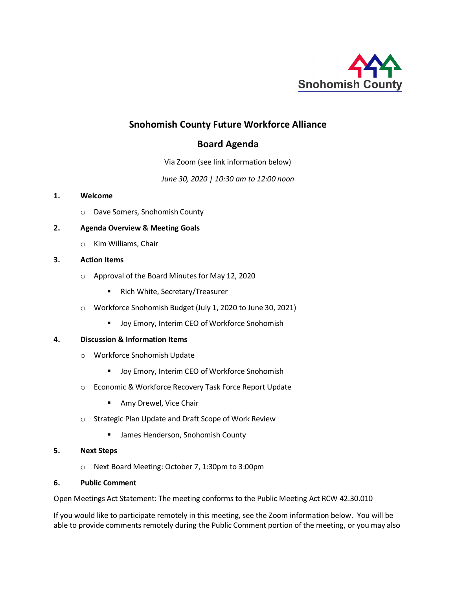

# **Snohomish County Future Workforce Alliance**

# **Board Agenda**

Via Zoom (see link information below)

*June 30, 2020 | 10:30 am to 12:00 noon*

## **1. Welcome**

o Dave Somers, Snohomish County

## **2. Agenda Overview & Meeting Goals**

o Kim Williams, Chair

## **3. Action Items**

- o Approval of the Board Minutes for May 12, 2020
	- **Rich White, Secretary/Treasurer**
- o Workforce Snohomish Budget (July 1, 2020 to June 30, 2021)
	- **Joy Emory, Interim CEO of Workforce Snohomish**

### **4. Discussion & Information Items**

- o Workforce Snohomish Update
	- **Joy Emory, Interim CEO of Workforce Snohomish**
- o Economic & Workforce Recovery Task Force Report Update
	- **Amy Drewel, Vice Chair**
- o Strategic Plan Update and Draft Scope of Work Review
	- **EXT** James Henderson, Snohomish County

## **5. Next Steps**

o Next Board Meeting: October 7, 1:30pm to 3:00pm

### **6. Public Comment**

Open Meetings Act Statement: The meeting conforms to the Public Meeting Act RCW 42.30.010

If you would like to participate remotely in this meeting, see the Zoom information below. You will be able to provide comments remotely during the Public Comment portion of the meeting, or you may also